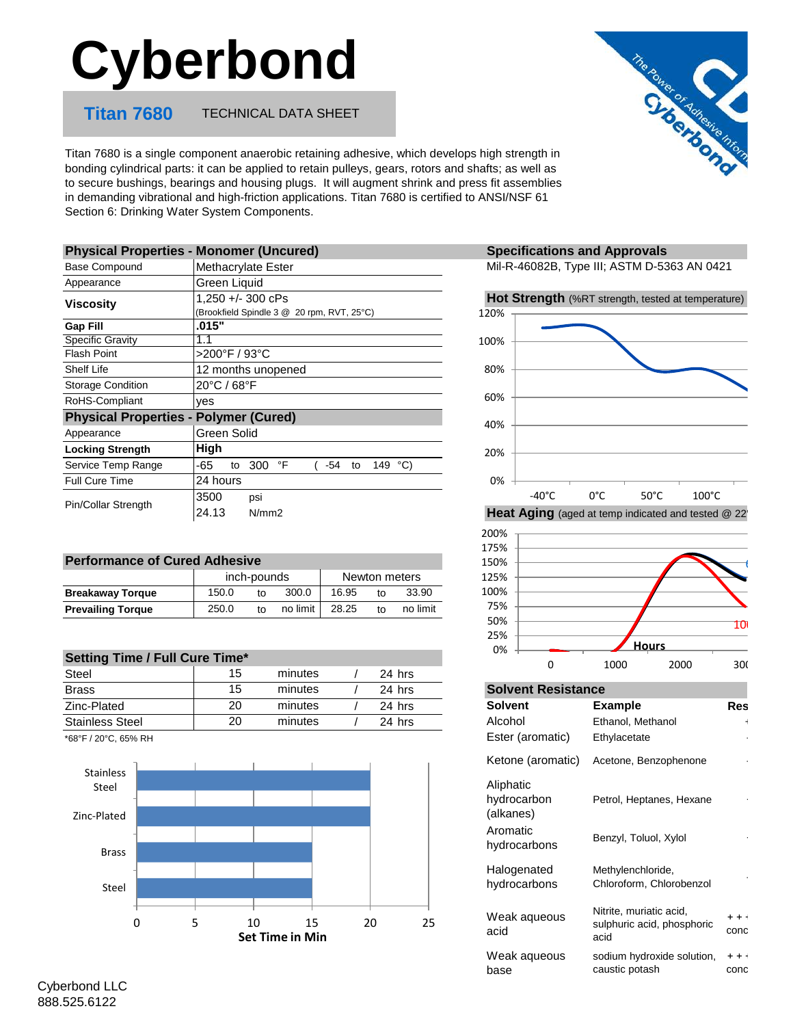# **Cyberbond**

**Titan 7680** TECHNICAL DATA SHEET



Titan 7680 is a single component anaerobic retaining adhesive, which develops high strength in bonding cylindrical parts: it can be applied to retain pulleys, gears, rotors and shafts; as well as to secure bushings, bearings and housing plugs. It will augment shrink and press fit assemblies in demanding vibrational and high-friction applications. Titan 7680 is certified to ANSI/NSF 61 Section 6: Drinking Water System Components.

| <b>Physical Properties - Monomer (Uncured)</b> |                                                |  |  |  |
|------------------------------------------------|------------------------------------------------|--|--|--|
| <b>Base Compound</b>                           | Methacrylate Ester                             |  |  |  |
| Appearance                                     | Green Liquid                                   |  |  |  |
| Viscosity                                      | $1,250 + (-300 \text{ cPs})$                   |  |  |  |
|                                                | (Brookfield Spindle 3 @ 20 rpm, RVT, 25°C)     |  |  |  |
| <b>Gap Fill</b>                                | .015"                                          |  |  |  |
| <b>Specific Gravity</b>                        | 1.1                                            |  |  |  |
| <b>Flash Point</b>                             | >200°F / 93°C                                  |  |  |  |
| Shelf Life                                     | 12 months unopened                             |  |  |  |
| <b>Storage Condition</b>                       | 20°C / 68°F                                    |  |  |  |
| RoHS-Compliant                                 | ves                                            |  |  |  |
| <b>Physical Properties - Polymer (Cured)</b>   |                                                |  |  |  |
| Appearance                                     | Green Solid                                    |  |  |  |
| <b>Locking Strength</b>                        | High                                           |  |  |  |
| Service Temp Range                             | -65<br>300<br>°F<br>149 °C)<br>-54<br>to<br>to |  |  |  |
| <b>Full Cure Time</b>                          | 24 hours                                       |  |  |  |
| Pin/Collar Strength                            | 3500<br>psi                                    |  |  |  |
|                                                | 24.13<br>N/mm2                                 |  |  |  |

| <b>Performance of Cured Adhesive</b> |             |    |          |               |    |          |  |
|--------------------------------------|-------------|----|----------|---------------|----|----------|--|
|                                      | inch-pounds |    |          | Newton meters |    |          |  |
| <b>Breakaway Torque</b>              | 150.0       | tΩ | 300.0    | 16.95         | to | 33.90    |  |
| <b>Prevailing Torque</b>             | 250.0       | t∩ | no limit | 28.25         | to | no limit |  |

| <b>Setting Time / Full Cure Time*</b> |    |         |        |
|---------------------------------------|----|---------|--------|
| Steel                                 | 15 | minutes | 24 hrs |
| <b>Brass</b>                          | 15 | minutes | 24 hrs |
| Zinc-Plated                           | 20 | minutes | 24 hrs |
| <b>Stainless Steel</b>                | 20 | minutes | 24 hrs |

\*68°F / 20°C, 65% RH



## **Specifications and Approvals**

Mil-R-46082B, Type III; ASTM D-5363 AN 0421







### **Solvent Resistance**

| <b>Solvent</b>                        | Example                                                       | <b>Res</b>               |
|---------------------------------------|---------------------------------------------------------------|--------------------------|
| Alcohol                               | Ethanol, Methanol                                             | $\overline{\phantom{a}}$ |
| Ester (aromatic)                      | Ethylacetate                                                  |                          |
| Ketone (aromatic)                     | Acetone, Benzophenone                                         |                          |
| Aliphatic<br>hydrocarbon<br>(alkanes) | Petrol, Heptanes, Hexane                                      |                          |
| Aromatic<br>hydrocarbons              | Benzyl, Toluol, Xylol                                         |                          |
| Halogenated<br>hydrocarbons           | Methylenchloride,<br>Chloroform, Chlorobenzol                 |                          |
| Weak aqueous<br>acid                  | Nitrite, muriatic acid,<br>sulphuric acid, phosphoric<br>acid | $+ + +$<br>conc          |
| Weak aqueous<br>base                  | sodium hydroxide solution,<br>caustic potash                  | $+ + +$<br>conc          |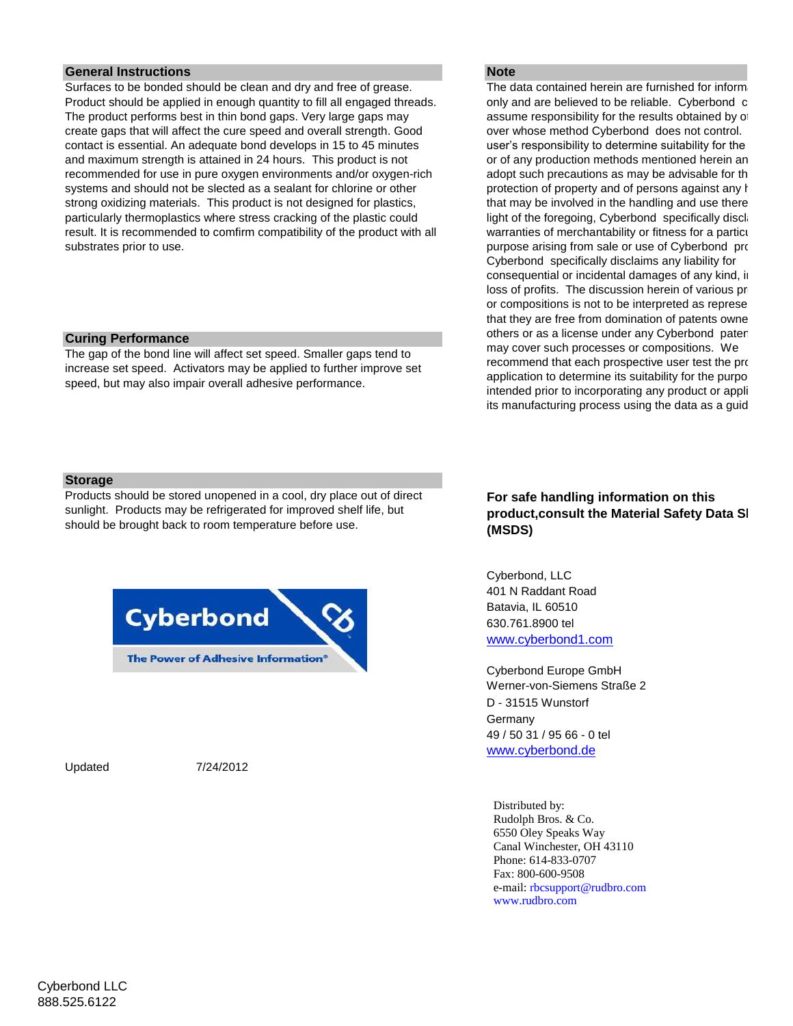### **General Instructions Note Note Note Note Note**

Surfaces to be bonded should be clean and dry and free of grease. Product should be applied in enough quantity to fill all engaged threads. The product performs best in thin bond gaps. Very large gaps may create gaps that will affect the cure speed and overall strength. Good contact is essential. An adequate bond develops in 15 to 45 minutes and maximum strength is attained in 24 hours. This product is not recommended for use in pure oxygen environments and/or oxygen-rich systems and should not be slected as a sealant for chlorine or other strong oxidizing materials. This product is not designed for plastics, particularly thermoplastics where stress cracking of the plastic could result. It is recommended to comfirm compatibility of the product with all substrates prior to use.

#### **Curing Performance**

The gap of the bond line will affect set speed. Smaller gaps tend to increase set speed. Activators may be applied to further improve set speed, but may also impair overall adhesive performance.

The data contained herein are furnished for information only and are believed to be reliable. Cyberbond c assume responsibility for the results obtained by of over whose method Cyberbond does not control. user's responsibility to determine suitability for the or of any production methods mentioned herein an adopt such precautions as may be advisable for the protection of property and of persons against any h that may be involved in the handling and use there light of the foregoing, Cyberbond specifically disclai warranties of merchantability or fitness for a particular purpose arising from sale or use of Cyberbond products. Cyberbond specifically disclaims any liability for consequential or incidental damages of any kind, in loss of profits. The discussion herein of various pro or compositions is not to be interpreted as represe that they are free from domination of patents owne others or as a license under any Cyberbond patent may cover such processes or compositions. We recommend that each prospective user test the proposed application to determine its suitability for the purpose intended prior to incorporating any product or appli its manufacturing process using the data as a guid

#### **Storage**

Products should be stored unopened in a cool, dry place out of direct sunlight. Products may be refrigerated for improved shelf life, but should be brought back to room temperature before use.



Updated 7/24/2012

# **For safe handling information on this**  product, consult the Material Safety Data SI **(MSDS)**

Cyberbond, LLC 401 N Raddant Road Batavia, IL 60510 630.761.8900 tel [www.cyberbond1.com](http://www.cyberbond1.com/)

Cyberbond Europe GmbH Werner-von-Siemens Straße 2 D - 31515 Wunstorf Germany 49 / 50 31 / 95 66 - 0 tel [www.cyberbond.de](http://www.cyberbond.de/)

Distributed by: Rudolph Bros. & Co. 6550 Oley Speaks Way Canal Winchester, OH 43110 Phone: 614-833-0707 Fax: 800-600-9508 e-mail: rbcsupport@rudbro.com www.rudbro.com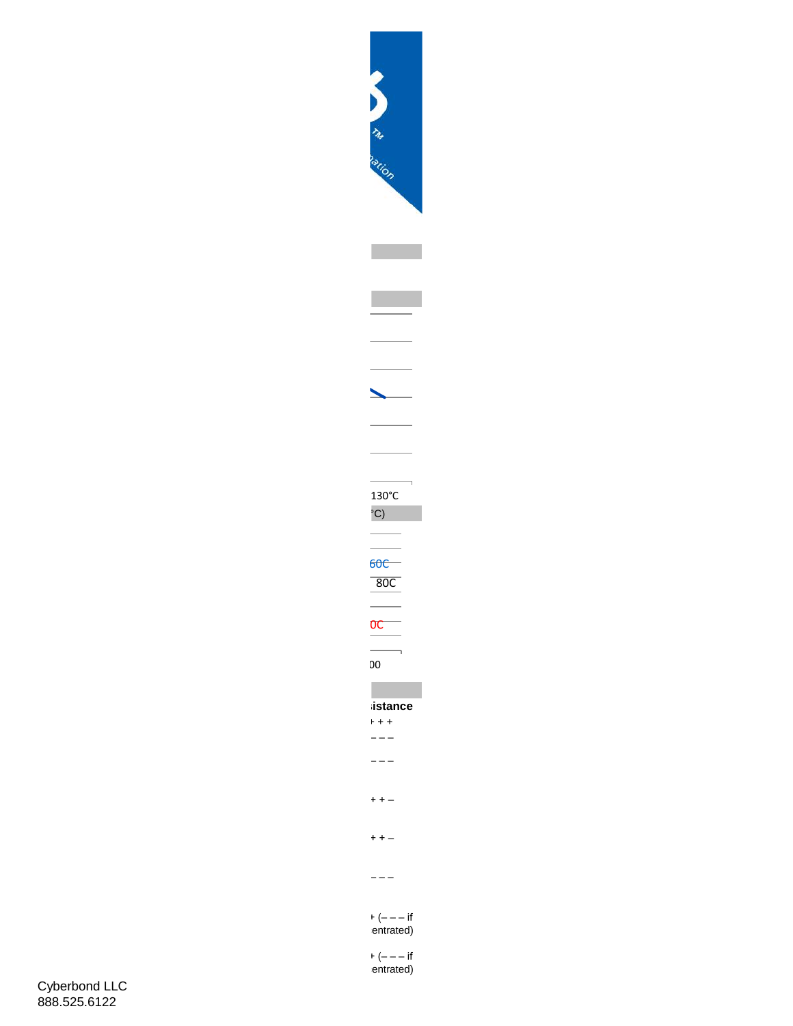

 $+$   $(- - - if$ entrated)